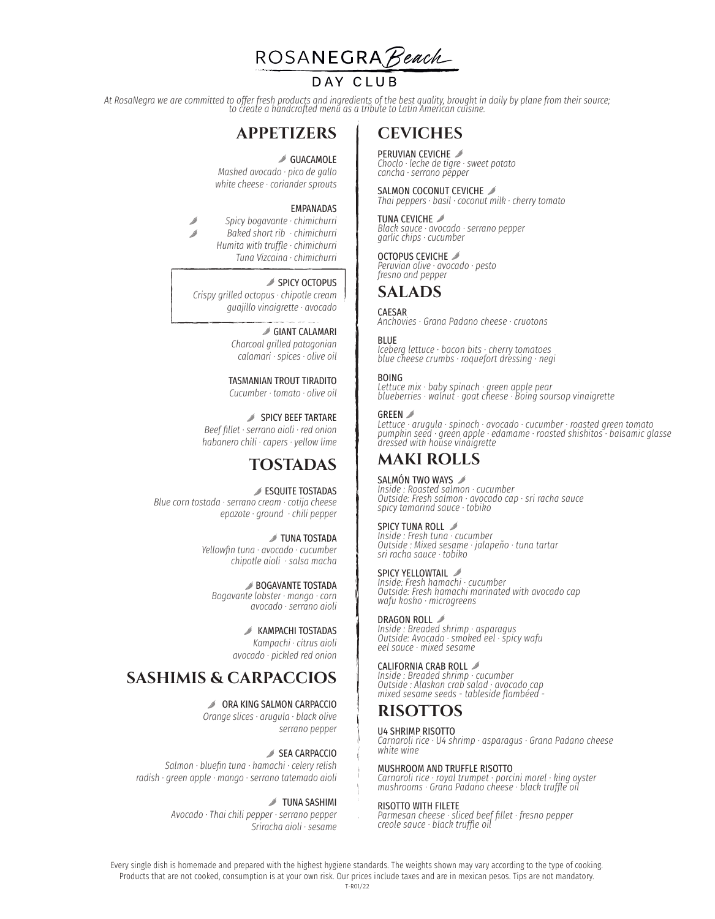

### DAY CLUB

*At RosaNegra we are committed to offer fresh products and ingredients of the best quality, brought in daily by plane from their source; to create a handcrafted menu as a tribute to Latin American cuisine.* 

## **APPETIZERS**

**SUACAMOLE** 

*Mashed avocado · pico de gallo white cheese · coriander sprouts* 

### EMPANADAS

*Spicy bogavante · chimichurri Baked short rib · chimichurri Humita with truffle · chimichurri Tuna Vizcaina · chimichurri* 

### SPICY OCTOPUS

*Crispy grilled octopus · chipotle cream guajillo vinaigrette · avocado* 

### GIANT CALAMARI

*Charcoal grilled patagonian calamari · spices · olive oil* 

### TASMANIAN TROUT TIRADITO

*Cucumber · tomato · olive oil* 

SPICY BEEF TARTARE *Beef fillet · serrano aioli · red onion habanero chili · capers · yellow lime* 

### **TOSTADAS**

**ESQUITE TOSTADAS** *Blue corn tostada · serrano cream · cotija cheese epazote · ground · chili pepper* 

> **J** TUNA TOSTADA *Yellowfin tuna · avocado · cucumber chipotle aioli · salsa macha*

BOGAVANTE TOSTADA *Bogavante lobster · mango · corn avocado · serrano aioli* 

> **KAMPACHI TOSTADAS** *Kampachi · citrus aioli avocado · pickled red onion*

## **SASHIMIS & CARPACCIOS**

**⊘ ORA KING SALMON CARPACCIO** 

*Orange slices · arugula · black olive serrano pepper* 

SEA CARPACCIO *Salmon · bluefin tuna · hamachi · celery relish radish · green apple · mango · serrano tatemado aioli* 

### *S* TUNA SASHIMI

*Avocado · Thai chili pepper · serrano pepper Sriracha aioli · sesame* 

## **CEVICHES**

PERUVIAN CEVICHE *Choclo · leche de tigre · sweet potato cancha · serrano pepper* 

SALMON COCONUT CEVICHE *Thai peppers · basil · coconut milk · cherry tomato* 

TUNA CEVICHE *Black sauce · avocado · serrano pepper garlic chips · cucumber* 

OCTOPUS CEVICHE

*Peruvian olive · avocado · pesto fresno and pepper* 

### **SALADS**

#### CAESAR

*Anchovies · Grana Padano cheese · cruotons* 

#### **BLUE**

*Iceberg lettuce · bacon bits · cherry tomatoes blue cheese crumbs · roquefort dressing · negi* 

### BOING

*Lettuce mix · baby spinach · green apple pear blueberries · walnut · goat cheese · Boing soursop vinaigrette* 

#### GRFFN **A**

*Lettuce · arugula · spinach · avocado · cucumber · roasted green tomato pumpkin seed · green apple · edamame · roasted shishitos · balsamic glasse dressed with house vinaigrette* 

## **MAKI ROLLS**

### SALMÓN TWO WAYS

*Inside : Roasted salmon · cucumber Outside: Fresh salmon · avocado cap · sri racha sauce spicy tamarind sauce · tobiko* 

### SPICY TUNA ROLL  $\mathscr{I}$

*Inside : Fresh tuna · cucumber Outside : Mixed sesame · jalapeño · tuna tartar sri racha sauce · tobiko* 

### SPICY YELLOWTAIL

*Inside: Fresh hamachi · cucumber Outside: Fresh hamachi marinated with avocado cap wafu kosho · microgreens* 

### **DRAGON ROLL** ⊿

*Inside : Breaded shrimp · asparagus Outside: Avocado · smoked eel · spicy wafu eel sauce · mixed sesame* 

### CALIFORNIA CRAB ROLL

*Inside : Breaded shrimp · cucumber Outside : Alaskan crab salad · avocado cap mixed sesame seeds - tableside flambéed -* 

## **RISOTTOS**

#### U4 SHRIMP RISOTTO

*Carnaroli rice · U4 shrimp · asparagus · Grana Padano cheese white wine* 

#### MUSHROOM AND TRUFFLE RISOTTO

*Carnaroli rice · royal trumpet · porcini morel · king oyster mushrooms · Grana Padano cheese · black truffle oil* 

#### RISOTTO WITH FILETE

*Parmesan cheese · sliced beef fillet · fresno pepper creole sauce · black truffle oil* 

Every single dish is homemade and prepared with the highest hygiene standards. The weights shown may vary according to the type of cooking. Products that are not cooked, consumption is at your own risk. Our prices include taxes and are in mexican pesos. Tips are not mandatory. T-R01/22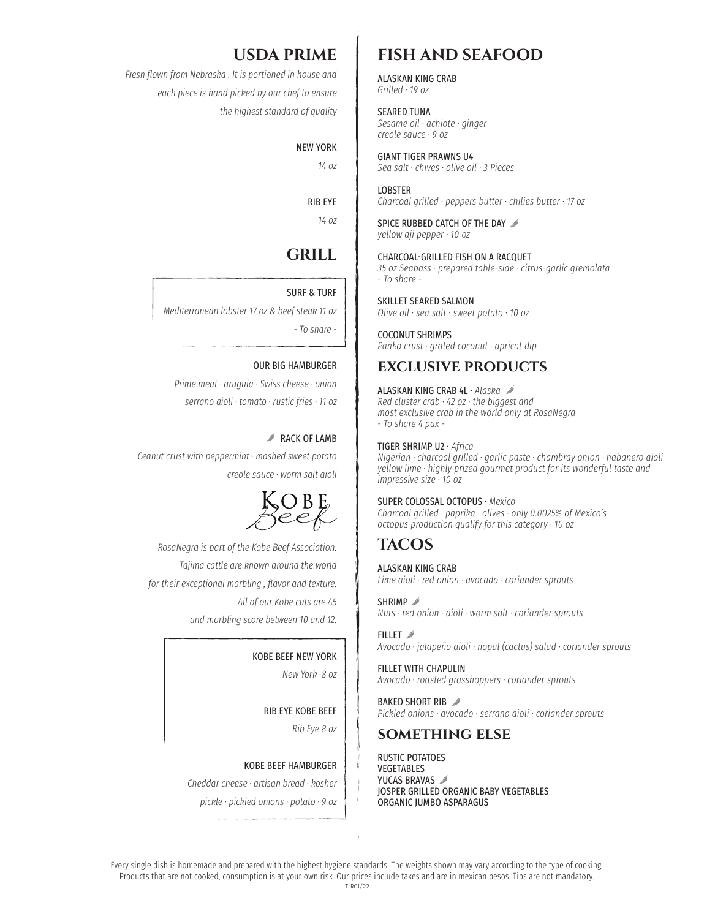## **USDA PRIME**

*Fresh flown from Nebraska . It is portioned in house and each piece is hand picked by our chef to ensure the highest standard of quality*

### NEW YORK

*14 oz* 

## RIB EYE

*14 oz* 

# **GRILL**

### SURF & TURF

*Mediterranean lobster 17 oz & beef steak 11 oz*

*- To share -* 

### OUR BIG HAMBURGER

*Prime meat · arugula · Swiss cheese · onion serrano aioli · tomato · rustic fries · 11 oz* 

### **RACK OF LAMB**

*Ceanut crust with peppermint · mashed sweet potato creole sauce · worm salt aioli* 



*RosaNegra is part of the Kobe Beef Association. Tajima cattle are known around the world for their exceptional marbling , flavor and texture. All of our Kobe cuts are A5 and marbling score between 10 and 12.*

### KOBE BEEF NEW YORK

*New York 8 oz* 

RIB EYE KOBE BEEF

*Rib Eye 8 oz* 

#### KOBE BEEF HAMBURGER

*Cheddar cheese · artisan bread · kosher*

*pickle · pickled onions · potato · 9 oz* 

## **FISH AND SEAFOOD**

ALASKAN KING CRAB *Grilled · 19 oz* 

SEARED TUNA *Sesame oil · achiote · ginger creole sauce · 9 oz* 

GIANT TIGER PRAWNS U4 *Sea salt · chives · olive oil · 3 Pieces* 

**LOBSTER** *Charcoal grilled · peppers butter · chilies butter · 17 oz* 

SPICE RUBBED CATCH OF THE DAY  $\mathscr{I}$ *yellow aji pepper · 10 oz* 

CHARCOAL-GRILLED FISH ON A RACQUET

*35 oz Seabass · prepared table-side · citrus-garlic gremolata - To share -* 

SKILLET SEARED SALMON

*Olive oil · sea salt · sweet potato · 10 oz* 

COCONUT SHRIMPS *Panko crust · grated coconut · apricot dip* 

### **exclusive products**

ALASKAN KING CRAB 4L · *Alaska Red cluster crab · 42 oz · the biggest and most exclusive crab in the world only at RosaNegra - To share 4 pax -* 

### TIGER SHRIMP U2 · *Africa*

*Nigerian · charcoal grilled · garlic paste · chambray onion · habanero aioli yellow lime · highly prized gourmet product for its wonderful taste and impressive size · 10 oz* 

#### SUPER COLOSSAL OCTOPUS · *Mexico Charcoal grilled · paprika · olives · only 0.0025% of Mexico's*

*octopus production qualify for this category · 10 oz* 

## **TACOS**

ALASKAN KING CRAB *Lime aioli · red onion · avocado · coriander sprouts* 

SHRIMP<sub>2</sub> *Nuts · red onion · aioli · worm salt · coriander sprouts* 

FILLET *Avocado · jalapeño aioli · nopal (cactus) salad · coriander sprouts* 

FILLET WITH CHAPULIN *Avocado · roasted grasshoppers · coriander sprouts* 

BAKED SHORT RIB *Pickled onions · avocado · serrano aioli · coriander sprouts* 

### **something else**

RUSTIC POTATOES VEGETABLES YUCAS BRAVAS JOSPER GRILLED ORGANIC BABY VEGETABLES ORGANIC JUMBO ASPARAGUS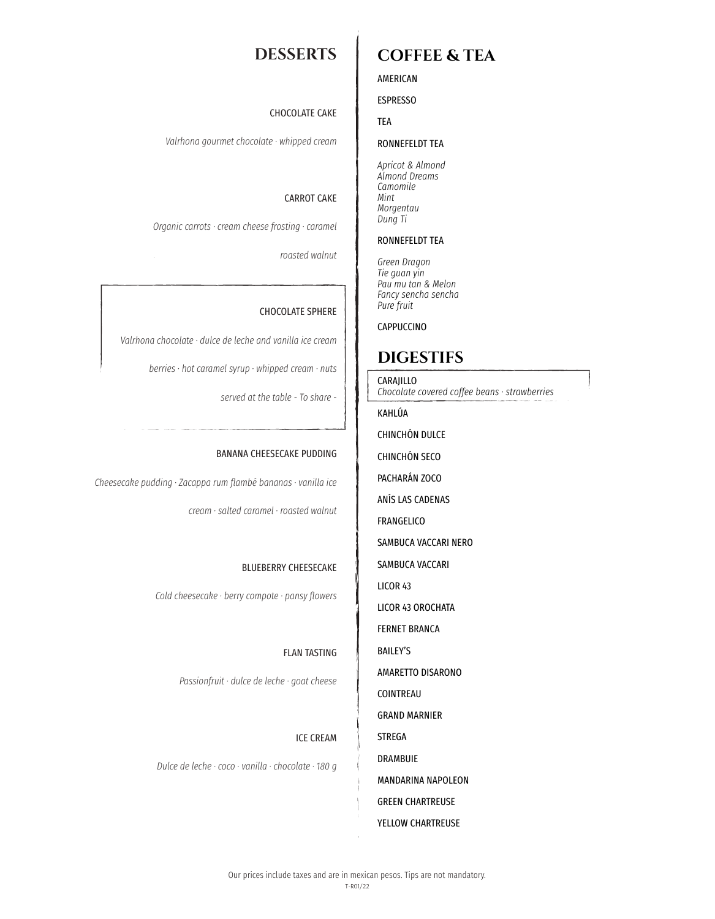## **DESSERTS**

### AMERICAN

### ESPRESSO

TEA

### RONNEFELDT TEA

**COFFEE & TEA**

*Apricot & Almond Almond Dreams Camomile Mint Morgentau Dung Ti*

### RONNEFELDT TEA

*Green Dragon Tie guan yin Pau mu tan & Melon Fancy sencha sencha Pure fruit*

CAPPUCCINO

## **DIGESTIFS**

CARAJILLO *Chocolate covered coffee beans · strawberries* 

KAHLÚA

CHINCHÓN DULCE

CHINCHÓN SECO

PACHARÁN ZOCO

ANÍS LAS CADENAS

FRANGELICO

SAMBUCA VACCARI NERO

SAMBUCA VACCARI

LICOR 43

LICOR 43 OROCHATA

FERNET BRANCA

BAILEY'S

AMARETTO DISARONO

COINTREAU

GRAND MARNIER

STREGA

DRAMBUIE

MANDARINA NAPOLEON

GREEN CHARTREUSE

YELLOW CHARTREUSE

### CHOCOLATE CAKE

*Valrhona gourmet chocolate · whipped cream* 

### CARROT CAKE

*Organic carrots · cream cheese frosting · caramel*

*roasted walnut* 

### CHOCOLATE SPHERE

*Valrhona chocolate · dulce de leche and vanilla ice cream*

*berries · hot caramel syrup · whipped cream · nuts*

*served at the table - To share -* 

### BANANA CHEESECAKE PUDDING

*Cheesecake pudding · Zacappa rum flambé bananas · vanilla ice* 

*cream · salted caramel · roasted walnut* 

### BLUEBERRY CHEESECAKE

*Cold cheesecake · berry compote · pansy flowers* 

### FLAN TASTING

*Passionfruit · dulce de leche · goat cheese* 

### ICE CREAM

*Dulce de leche · coco · vanilla · chocolate · 180 g*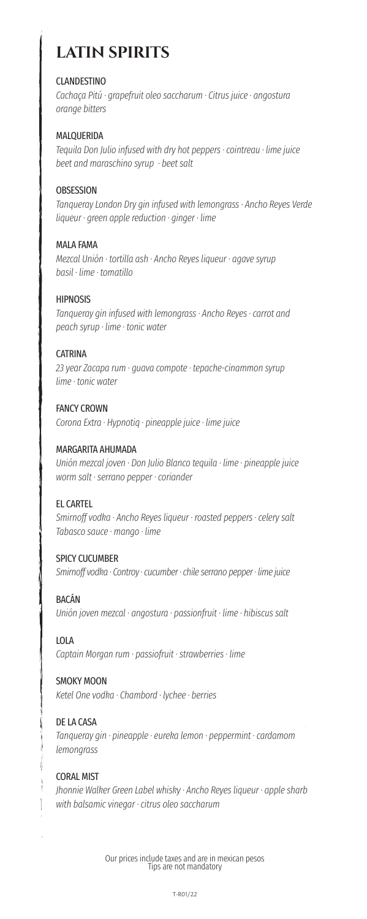# **LATIN SPIRITS**

### CLANDESTINO

*Cachaça Pitú · grapefruit oleo saccharum · Citrus juice · angostura orange bitters* 

### MALQUERIDA

*Tequila Don Julio infused with dry hot peppers · cointreau · lime juice beet and maraschino syrup · beet salt* 

### **OBSESSION**

*Tanqueray London Dry gin infused with lemongrass · Ancho Reyes Verde liqueur · green apple reduction · ginger · lime* 

### MALA FAMA

*Mezcal Unión · tortilla ash · Ancho Reyes liqueur · agave syrup basil · lime · tomatillo* 

### HIPNOSIS

*Tanqueray gin infused with lemongrass · Ancho Reyes · carrot and peach syrup · lime · tonic water* 

### **CATRINA**

*23 year Zacapa rum · guava compote · tepache-cinammon syrup lime · tonic water* 

FANCY CROWN *Corona Extra · Hypnotiq · pineapple juice · lime juice* 

### MARGARITA AHUMADA

*Unión mezcal joven · Don Julio Blanco tequila · lime · pineapple juice worm salt · serrano pepper · coriander* 

### EL CARTEL

*Smirnoff vodka · Ancho Reyes liqueur · roasted peppers · celery salt Tabasco sauce · mango · lime* 

### SPICY CUCUMBER

*Smirnoff vodka · Controy · cucumber · chile serrano pepper · lime juice* 

### BACÁN

*Unión joven mezcal · angostura · passionfruit · lime · hibiscus salt* 

### LOLA

*Captain Morgan rum · passiofruit · strawberries · lime* 

### SMOKY MOON

*Ketel One vodka · Chambord · lychee · berries* 

### DE LA CASA

*Tanqueray gin · pineapple · eureka lemon · peppermint · cardamom lemongrass* 

### CORAL MIST

*Jhonnie Walker Green Label whisky · Ancho Reyes liqueur · apple sharb with balsamic vinegar · citrus oleo saccharum*